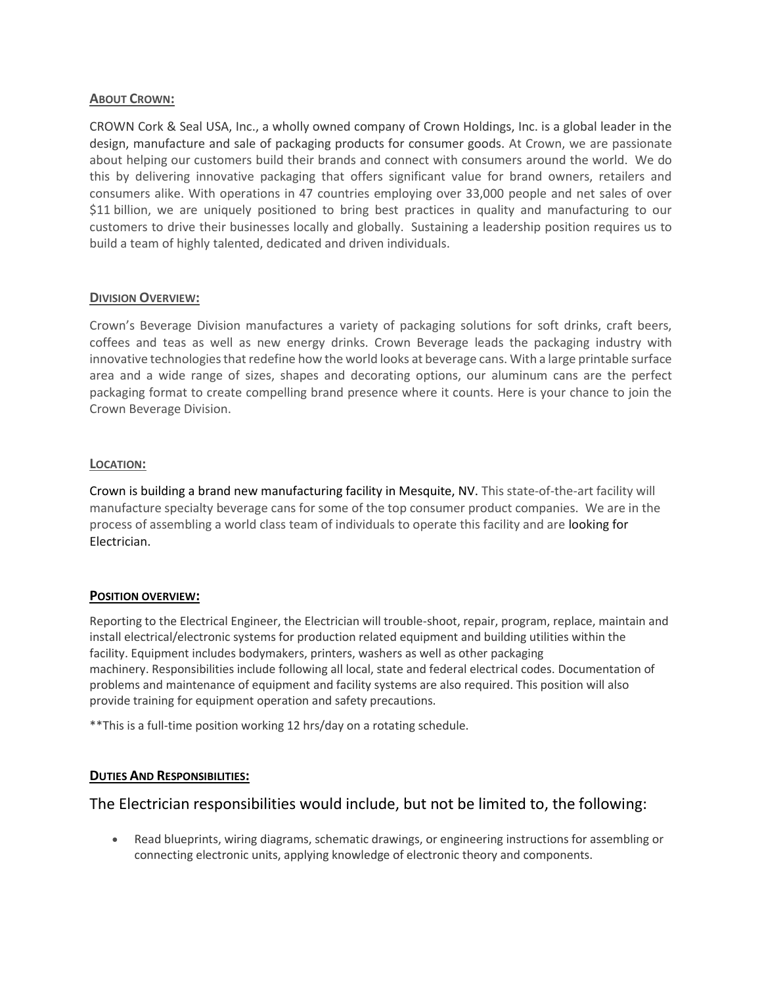### **ABOUT CROWN:**

CROWN Cork & Seal USA, Inc., a wholly owned company of Crown Holdings, Inc. is a global leader in the design, manufacture and sale of packaging products for consumer goods. At Crown, we are passionate about helping our customers build their brands and connect with consumers around the world. We do this by delivering innovative packaging that offers significant value for brand owners, retailers and consumers alike. With operations in 47 countries employing over 33,000 people and net sales of over \$11 billion, we are uniquely positioned to bring best practices in quality and manufacturing to our customers to drive their businesses locally and globally. Sustaining a leadership position requires us to build a team of highly talented, dedicated and driven individuals.

## **DIVISION OVERVIEW:**

Crown's Beverage Division manufactures a variety of packaging solutions for soft drinks, craft beers, coffees and teas as well as new energy drinks. Crown Beverage leads the packaging industry with innovative technologies that redefine how the world looks at beverage cans. With a large printable surface area and a wide range of sizes, shapes and decorating options, our aluminum cans are the perfect packaging format to create compelling brand presence where it counts. Here is your chance to join the Crown Beverage Division.

## **LOCATION:**

Crown is building a brand new manufacturing facility in Mesquite, NV. This state-of-the-art facility will manufacture specialty beverage cans for some of the top consumer product companies. We are in the process of assembling a world class team of individuals to operate this facility and are looking for Electrician.

### **POSITION OVERVIEW:**

Reporting to the Electrical Engineer, the Electrician will trouble-shoot, repair, program, replace, maintain and install electrical/electronic systems for production related equipment and building utilities within the facility. Equipment includes bodymakers, printers, washers as well as other packaging machinery. Responsibilities include following all local, state and federal electrical codes. Documentation of problems and maintenance of equipment and facility systems are also required. This position will also provide training for equipment operation and safety precautions.

\*\*This is a full-time position working 12 hrs/day on a rotating schedule.

## **DUTIES AND RESPONSIBILITIES:**

# The Electrician responsibilities would include, but not be limited to, the following:

• Read blueprints, wiring diagrams, schematic drawings, or engineering instructions for assembling or connecting electronic units, applying knowledge of electronic theory and components.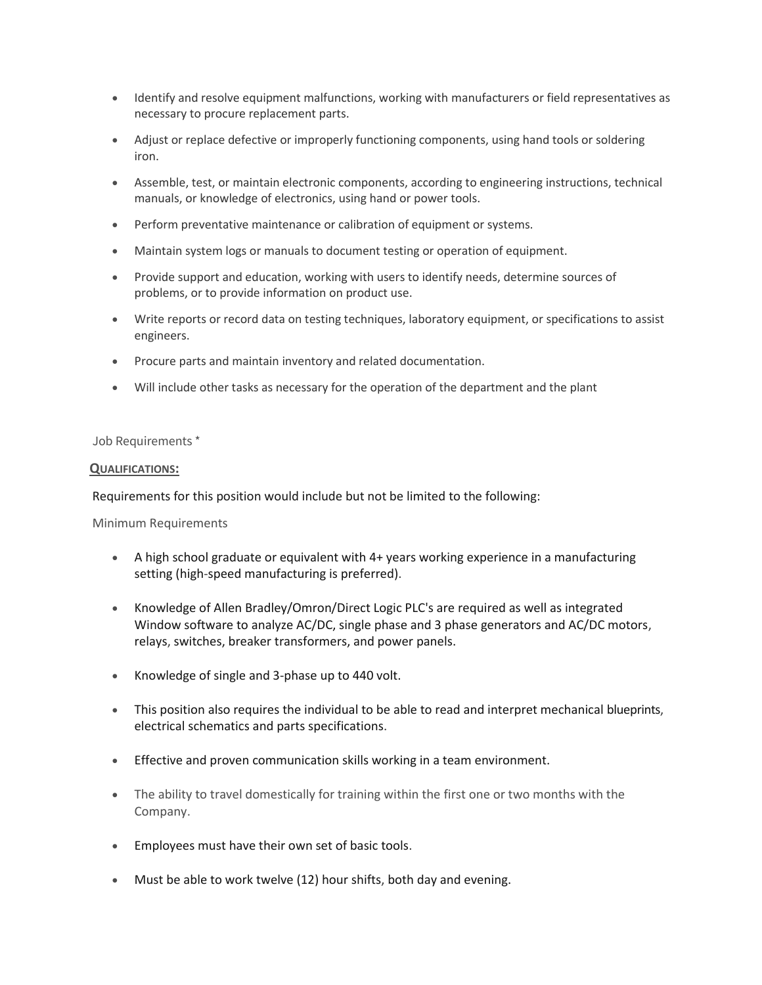- Identify and resolve equipment malfunctions, working with manufacturers or field representatives as necessary to procure replacement parts.
- Adjust or replace defective or improperly functioning components, using hand tools or soldering iron.
- Assemble, test, or maintain electronic components, according to engineering instructions, technical manuals, or knowledge of electronics, using hand or power tools.
- Perform preventative maintenance or calibration of equipment or systems.
- Maintain system logs or manuals to document testing or operation of equipment.
- Provide support and education, working with users to identify needs, determine sources of problems, or to provide information on product use.
- Write reports or record data on testing techniques, laboratory equipment, or specifications to assist engineers.
- Procure parts and maintain inventory and related documentation.
- Will include other tasks as necessary for the operation of the department and the plant

#### Job Requirements \*

#### **QUALIFICATIONS:**

Requirements for this position would include but not be limited to the following:

Minimum Requirements

- A high school graduate or equivalent with 4+ years working experience in a manufacturing setting (high-speed manufacturing is preferred).
- Knowledge of Allen Bradley/Omron/Direct Logic PLC's are required as well as integrated Window software to analyze AC/DC, single phase and 3 phase generators and AC/DC motors, relays, switches, breaker transformers, and power panels.
- Knowledge of single and 3-phase up to 440 volt.
- This position also requires the individual to be able to read and interpret mechanical blueprints, electrical schematics and parts specifications.
- Effective and proven communication skills working in a team environment.
- The ability to travel domestically for training within the first one or two months with the Company.
- Employees must have their own set of basic tools.
- Must be able to work twelve (12) hour shifts, both day and evening.